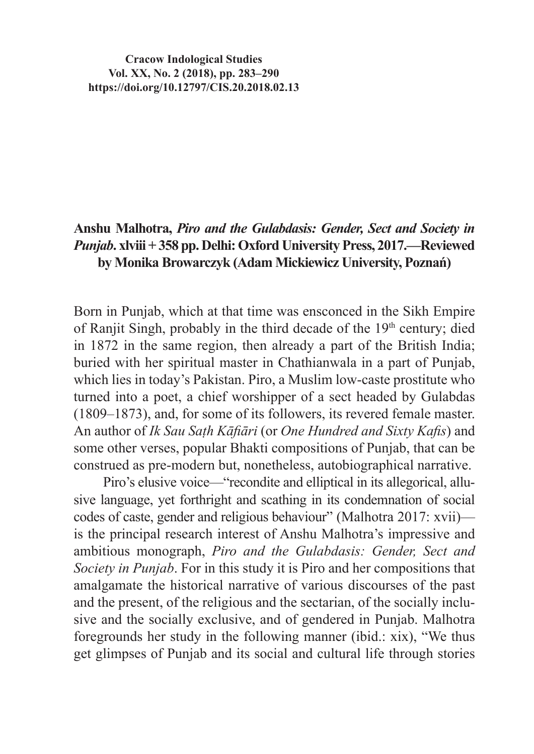**Cracow Indological Studies Vol. XX, No. 2 (2018), pp. 283–290 https://doi.org/10.12797/CIS.20.2018.02.13**

## **Anshu Malhotra,** *Piro and the Gulabdasis: Gender, Sect and Society in Punjab***. xlviii + 358 pp. Delhi: Oxford University Press, 2017.—Reviewed by Monika Browarczyk (Adam Mickiewicz University, Poznań)**

Born in Punjab, which at that time was ensconced in the Sikh Empire of Ranjit Singh, probably in the third decade of the 19th century; died in 1872 in the same region, then already a part of the British India; buried with her spiritual master in Chathianwala in a part of Punjab, which lies in today's Pakistan. Piro, a Muslim low-caste prostitute who turned into a poet, a chief worshipper of a sect headed by Gulabdas (1809–1873), and, for some of its followers, its revered female master. An author of *Ik Sau Saṭh Kāfiāri* (or *One Hundred and Sixty Kafis*) and some other verses, popular Bhakti compositions of Punjab, that can be construed as pre-modern but, nonetheless, autobiographical narrative.

Piro's elusive voice—"recondite and elliptical in its allegorical, allusive language, yet forthright and scathing in its condemnation of social codes of caste, gender and religious behaviour" (Malhotra 2017: xvii) is the principal research interest of Anshu Malhotra's impressive and ambitious monograph, *Piro and the Gulabdasis: Gender, Sect and Society in Punjab*. For in this study it is Piro and her compositions that amalgamate the historical narrative of various discourses of the past and the present, of the religious and the sectarian, of the socially inclusive and the socially exclusive, and of gendered in Punjab. Malhotra foregrounds her study in the following manner (ibid.: xix), "We thus get glimpses of Punjab and its social and cultural life through stories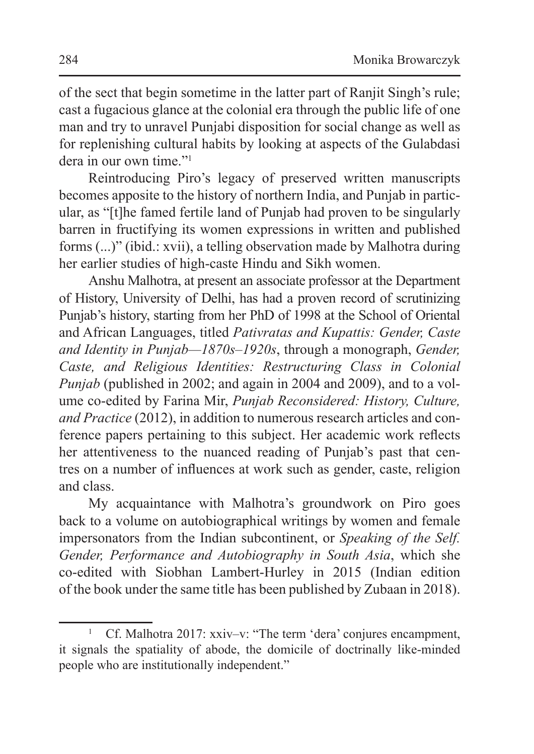of the sect that begin sometime in the latter part of Ranjit Singh's rule; cast a fugacious glance at the colonial era through the public life of one man and try to unravel Punjabi disposition for social change as well as for replenishing cultural habits by looking at aspects of the Gulabdasi dera in our own time."<sup>1</sup>

Reintroducing Piro's legacy of preserved written manuscripts becomes apposite to the history of northern India, and Punjab in particular, as "[t]he famed fertile land of Punjab had proven to be singularly barren in fructifying its women expressions in written and published forms (...)" (ibid.: xvii), a telling observation made by Malhotra during her earlier studies of high-caste Hindu and Sikh women.

Anshu Malhotra, at present an associate professor at the Department of History, University of Delhi, has had a proven record of scrutinizing Punjab's history, starting from her PhD of 1998 at the School of Oriental and African Languages, titled *Pativratas and Kupattis: Gender, Caste and Identity in Punjab—1870s–1920s*, through a monograph, *Gender, Caste, and Religious Identities: Restructuring Class in Colonial Punjab* (published in 2002; and again in 2004 and 2009), and to a volume co-edited by Farina Mir, *Punjab Reconsidered: History, Culture, and Practice* (2012), in addition to numerous research articles and conference papers pertaining to this subject. Her academic work reflects her attentiveness to the nuanced reading of Punjab's past that centres on a number of influences at work such as gender, caste, religion and class.

My acquaintance with Malhotra's groundwork on Piro goes back to a volume on autobiographical writings by women and female impersonators from the Indian subcontinent, or *Speaking of the Self. Gender, Performance and Autobiography in South Asia*, which she co-edited with Siobhan Lambert-Hurley in 2015 (Indian edition of the book under the same title has been published by Zubaan in 2018).

<sup>1</sup> Cf. Malhotra 2017: xxiv–v: "The term 'dera' conjures encampment, it signals the spatiality of abode, the domicile of doctrinally like-minded people who are institutionally independent."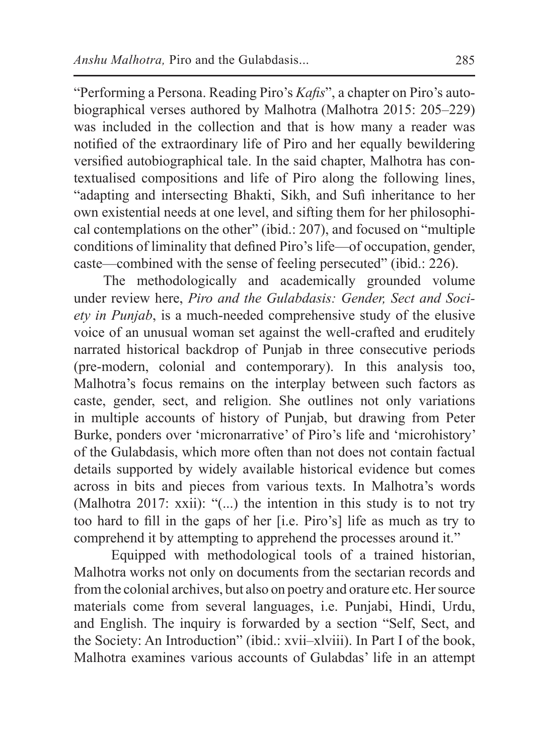"Performing a Persona. Reading Piro's *Kafis*", a chapter on Piro's autobiographical verses authored by Malhotra (Malhotra 2015: 205–229) was included in the collection and that is how many a reader was notified of the extraordinary life of Piro and her equally bewildering versified autobiographical tale. In the said chapter, Malhotra has contextualised compositions and life of Piro along the following lines, "adapting and intersecting Bhakti, Sikh, and Sufi inheritance to her own existential needs at one level, and sifting them for her philosophical contemplations on the other" (ibid.: 207), and focused on "multiple conditions of liminality that defined Piro's life—of occupation, gender, caste—combined with the sense of feeling persecuted" (ibid.: 226).

The methodologically and academically grounded volume under review here, *Piro and the Gulabdasis: Gender, Sect and Society in Punjab*, is a much-needed comprehensive study of the elusive voice of an unusual woman set against the well-crafted and eruditely narrated historical backdrop of Punjab in three consecutive periods (pre-modern, colonial and contemporary). In this analysis too, Malhotra's focus remains on the interplay between such factors as caste, gender, sect, and religion. She outlines not only variations in multiple accounts of history of Punjab, but drawing from Peter Burke, ponders over 'micronarrative' of Piro's life and 'microhistory' of the Gulabdasis, which more often than not does not contain factual details supported by widely available historical evidence but comes across in bits and pieces from various texts. In Malhotra's words (Malhotra 2017: xxii): "(...) the intention in this study is to not try too hard to fill in the gaps of her [i.e. Piro's] life as much as try to comprehend it by attempting to apprehend the processes around it."

Equipped with methodological tools of a trained historian, Malhotra works not only on documents from the sectarian records and from the colonial archives, but also on poetry and orature etc. Hersource materials come from several languages, i.e. Punjabi, Hindi, Urdu, and English. The inquiry is forwarded by a section "Self, Sect, and the Society: An Introduction" (ibid.: xvii–xlviii). In Part I of the book, Malhotra examines various accounts of Gulabdas' life in an attempt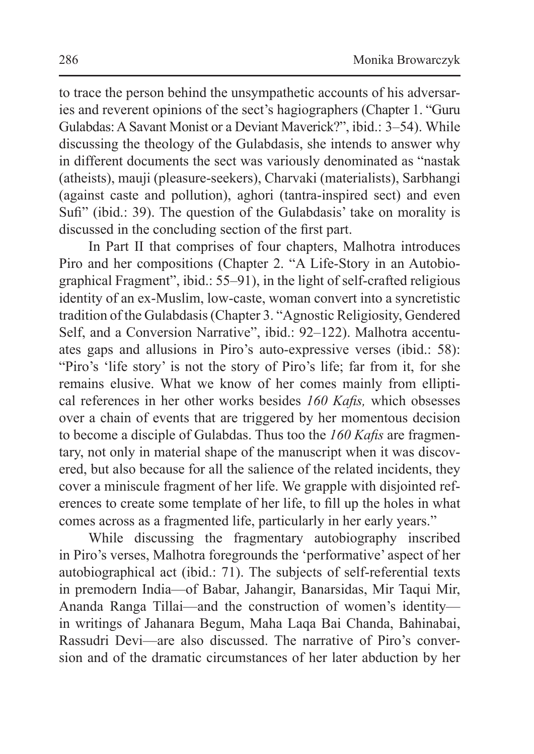to trace the person behind the unsympathetic accounts of his adversaries and reverent opinions of the sect's hagiographers (Chapter 1. "Guru Gulabdas:A Savant Monist or a Deviant Maverick?", ibid.: 3–54). While discussing the theology of the Gulabdasis, she intends to answer why in different documents the sect was variously denominated as "nastak (atheists), mauji (pleasure-seekers), Charvaki (materialists), Sarbhangi (against caste and pollution), aghori (tantra-inspired sect) and even Sufi" (ibid.: 39). The question of the Gulabdasis' take on morality is discussed in the concluding section of the first part.

In Part II that comprises of four chapters, Malhotra introduces Piro and her compositions (Chapter 2. "A Life-Story in an Autobiographical Fragment", ibid.: 55–91), in the light of self-crafted religious identity of an ex-Muslim, low-caste, woman convert into a syncretistic tradition of the Gulabdasis(Chapter 3. "Agnostic Religiosity, Gendered Self, and a Conversion Narrative", ibid.: 92–122). Malhotra accentuates gaps and allusions in Piro's auto-expressive verses (ibid.: 58): "Piro's 'life story' is not the story of Piro's life; far from it, for she remains elusive. What we know of her comes mainly from elliptical references in her other works besides *160 Kafis,* which obsesses over a chain of events that are triggered by her momentous decision to become a disciple of Gulabdas. Thus too the *160 Kafis* are fragmentary, not only in material shape of the manuscript when it was discovered, but also because for all the salience of the related incidents, they cover a miniscule fragment of her life. We grapple with disjointed references to create some template of her life, to fill up the holes in what comes across as a fragmented life, particularly in her early years."

While discussing the fragmentary autobiography inscribed in Piro's verses, Malhotra foregrounds the 'performative' aspect of her autobiographical act (ibid.: 71). The subjects of self-referential texts in premodern India—of Babar, Jahangir, Banarsidas, Mir Taqui Mir, Ananda Ranga Tillai—and the construction of women's identity in writings of Jahanara Begum, Maha Laqa Bai Chanda, Bahinabai, Rassudri Devi—are also discussed. The narrative of Piro's conversion and of the dramatic circumstances of her later abduction by her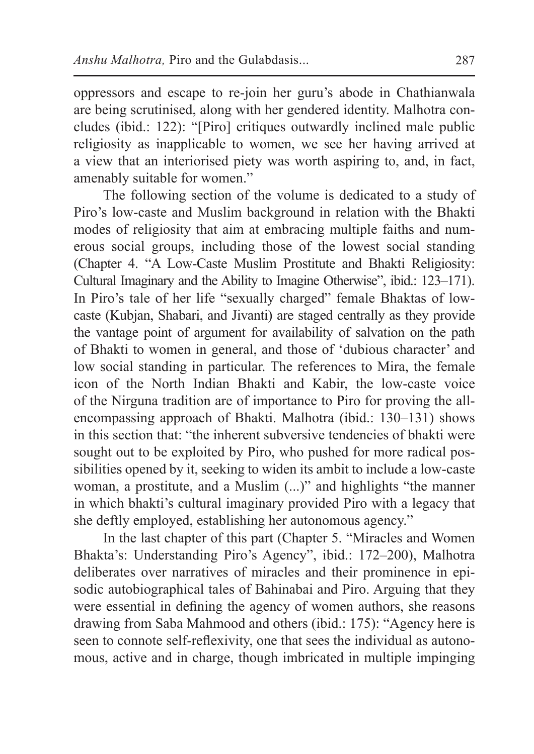oppressors and escape to re-join her guru's abode in Chathianwala are being scrutinised, along with her gendered identity. Malhotra concludes (ibid.: 122): "[Piro] critiques outwardly inclined male public religiosity as inapplicable to women, we see her having arrived at a view that an interiorised piety was worth aspiring to, and, in fact, amenably suitable for women."

The following section of the volume is dedicated to a study of Piro's low-caste and Muslim background in relation with the Bhakti modes of religiosity that aim at embracing multiple faiths and numerous social groups, including those of the lowest social standing (Chapter 4. "A Low-Caste Muslim Prostitute and Bhakti Religiosity: Cultural Imaginary and the Ability to Imagine Otherwise", ibid.: 123–171). In Piro's tale of her life "sexually charged" female Bhaktas of lowcaste (Kubjan, Shabari, and Jivanti) are staged centrally as they provide the vantage point of argument for availability of salvation on the path of Bhakti to women in general, and those of 'dubious character' and low social standing in particular. The references to Mira, the female icon of the North Indian Bhakti and Kabir, the low-caste voice of the Nirguna tradition are of importance to Piro for proving the allencompassing approach of Bhakti. Malhotra (ibid.: 130–131) shows in this section that: "the inherent subversive tendencies of bhakti were sought out to be exploited by Piro, who pushed for more radical possibilities opened by it, seeking to widen its ambit to include a low-caste woman, a prostitute, and a Muslim (...)" and highlights "the manner in which bhakti's cultural imaginary provided Piro with a legacy that she deftly employed, establishing her autonomous agency."

In the last chapter of this part (Chapter 5. "Miracles and Women Bhakta's: Understanding Piro's Agency", ibid.: 172–200), Malhotra deliberates over narratives of miracles and their prominence in episodic autobiographical tales of Bahinabai and Piro. Arguing that they were essential in defining the agency of women authors, she reasons drawing from Saba Mahmood and others (ibid.: 175): "Agency here is seen to connote self-reflexivity, one that sees the individual as autonomous, active and in charge, though imbricated in multiple impinging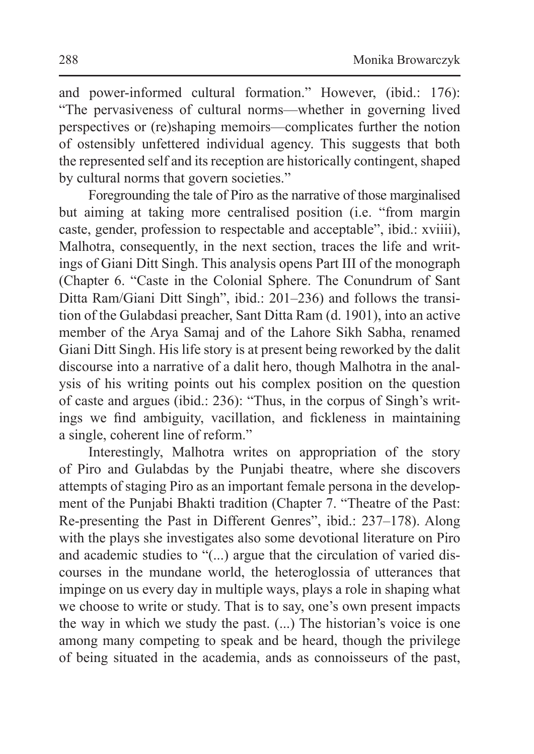and power-informed cultural formation." However, (ibid.: 176): "The pervasiveness of cultural norms—whether in governing lived perspectives or (re)shaping memoirs—complicates further the notion of ostensibly unfettered individual agency. This suggests that both the represented self and its reception are historically contingent, shaped by cultural norms that govern societies."

Foregrounding the tale of Piro as the narrative of those marginalised but aiming at taking more centralised position (i.e. "from margin caste, gender, profession to respectable and acceptable", ibid.: xviiii), Malhotra, consequently, in the next section, traces the life and writings of Giani Ditt Singh. This analysis opens Part III of the monograph (Chapter 6. "Caste in the Colonial Sphere. The Conundrum of Sant Ditta Ram/Giani Ditt Singh", ibid.: 201–236) and follows the transition of the Gulabdasi preacher, Sant Ditta Ram (d. 1901), into an active member of the Arya Samaj and of the Lahore Sikh Sabha, renamed Giani Ditt Singh. His life story is at present being reworked by the dalit discourse into a narrative of a dalit hero, though Malhotra in the analysis of his writing points out his complex position on the question of caste and argues (ibid.: 236): "Thus, in the corpus of Singh's writings we find ambiguity, vacillation, and fickleness in maintaining a single, coherent line of reform."

Interestingly, Malhotra writes on appropriation of the story of Piro and Gulabdas by the Punjabi theatre, where she discovers attempts of staging Piro as an important female persona in the development of the Punjabi Bhakti tradition (Chapter 7. "Theatre of the Past: Re-presenting the Past in Different Genres", ibid.: 237–178). Along with the plays she investigates also some devotional literature on Piro and academic studies to "(...) argue that the circulation of varied discourses in the mundane world, the heteroglossia of utterances that impinge on us every day in multiple ways, plays a role in shaping what we choose to write or study. That is to say, one's own present impacts the way in which we study the past. (...) The historian's voice is one among many competing to speak and be heard, though the privilege of being situated in the academia, ands as connoisseurs of the past,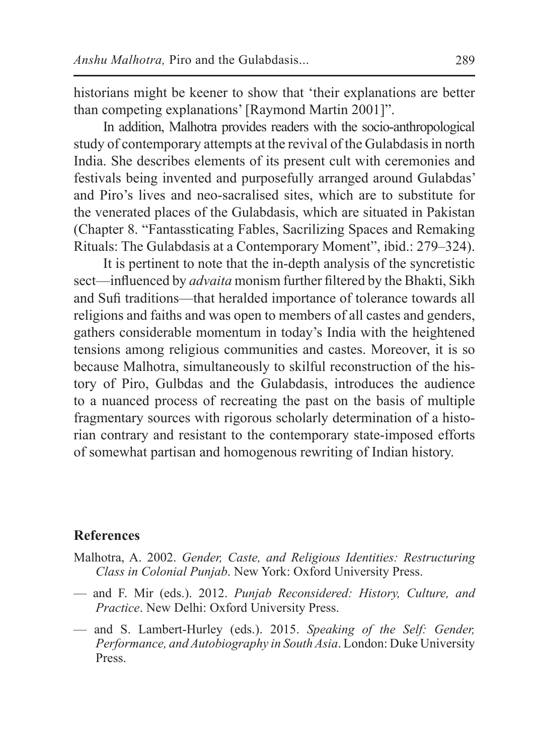historians might be keener to show that 'their explanations are better than competing explanations' [Raymond Martin 2001]".

In addition, Malhotra provides readers with the socio-anthropological study of contemporary attempts at the revival of the Gulabdasis in north India. She describes elements of its present cult with ceremonies and festivals being invented and purposefully arranged around Gulabdas' and Piro's lives and neo-sacralised sites, which are to substitute for the venerated places of the Gulabdasis, which are situated in Pakistan (Chapter 8. "Fantassticating Fables, Sacrilizing Spaces and Remaking Rituals: The Gulabdasis at a Contemporary Moment", ibid.: 279–324).

It is pertinent to note that the in-depth analysis of the syncretistic sect—influenced by *advaita* monism further filtered by the Bhakti, Sikh and Sufi traditions—that heralded importance of tolerance towards all religions and faiths and was open to members of all castes and genders, gathers considerable momentum in today's India with the heightened tensions among religious communities and castes. Moreover, it is so because Malhotra, simultaneously to skilful reconstruction of the history of Piro, Gulbdas and the Gulabdasis, introduces the audience to a nuanced process of recreating the past on the basis of multiple fragmentary sources with rigorous scholarly determination of a historian contrary and resistant to the contemporary state-imposed efforts of somewhat partisan and homogenous rewriting of Indian history.

## **References**

- Malhotra, A. 2002. *Gender, Caste, and Religious Identities: Restructuring Class in Colonial Punjab*. New York: Oxford University Press.
- and F. Mir (eds.). 2012. *Punjab Reconsidered: History, Culture, and Practice*. New Delhi: Oxford University Press.
- and S. Lambert-Hurley (eds.). 2015. *Speaking of the Self: Gender, Performance, and Autobiography in South Asia*. London: Duke University Press.